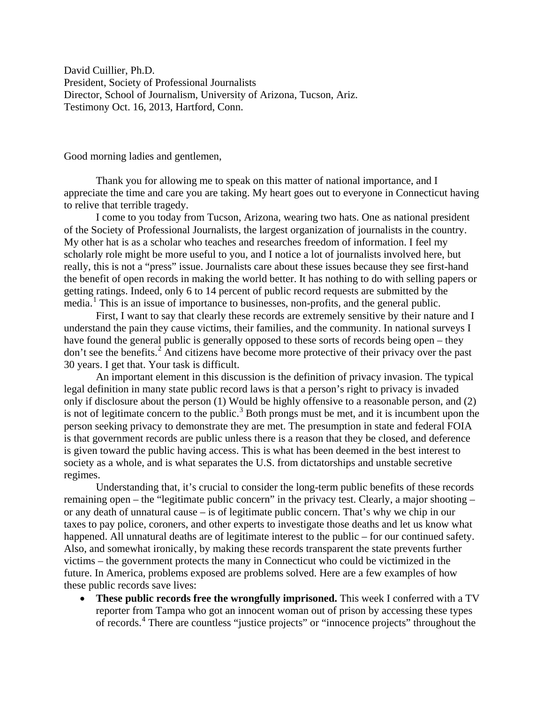David Cuillier, Ph.D. President, Society of Professional Journalists Director, School of Journalism, University of Arizona, Tucson, Ariz. Testimony Oct. 16, 2013, Hartford, Conn.

Good morning ladies and gentlemen,

Thank you for allowing me to speak on this matter of national importance, and I appreciate the time and care you are taking. My heart goes out to everyone in Connecticut having to relive that terrible tragedy.

I come to you today from Tucson, Arizona, wearing two hats. One as national president of the Society of Professional Journalists, the largest organization of journalists in the country. My other hat is as a scholar who teaches and researches freedom of information. I feel my scholarly role might be more useful to you, and I notice a lot of journalists involved here, but really, this is not a "press" issue. Journalists care about these issues because they see first-hand the benefit of open records in making the world better. It has nothing to do with selling papers or getting ratings. Indeed, only 6 to 14 percent of public record requests are submitted by the media.<sup>[1](#page-3-0)</sup> This is an issue of importance to businesses, non-profits, and the general public.

First, I want to say that clearly these records are extremely sensitive by their nature and I understand the pain they cause victims, their families, and the community. In national surveys I have found the general public is generally opposed to these sorts of records being open – they don't see the benefits. [2](#page-3-1) And citizens have become more protective of their privacy over the past 30 years. I get that. Your task is difficult.

An important element in this discussion is the definition of privacy invasion. The typical legal definition in many state public record laws is that a person's right to privacy is invaded only if disclosure about the person (1) Would be highly offensive to a reasonable person, and (2) is not of legitimate concern to the public.<sup>[3](#page-3-2)</sup> Both prongs must be met, and it is incumbent upon the person seeking privacy to demonstrate they are met. The presumption in state and federal FOIA is that government records are public unless there is a reason that they be closed, and deference is given toward the public having access. This is what has been deemed in the best interest to society as a whole, and is what separates the U.S. from dictatorships and unstable secretive regimes.

Understanding that, it's crucial to consider the long-term public benefits of these records remaining open – the "legitimate public concern" in the privacy test. Clearly, a major shooting – or any death of unnatural cause – is of legitimate public concern. That's why we chip in our taxes to pay police, coroners, and other experts to investigate those deaths and let us know what happened. All unnatural deaths are of legitimate interest to the public – for our continued safety. Also, and somewhat ironically, by making these records transparent the state prevents further victims – the government protects the many in Connecticut who could be victimized in the future. In America, problems exposed are problems solved. Here are a few examples of how these public records save lives:

• **These public records free the wrongfully imprisoned.** This week I conferred with a TV reporter from Tampa who got an innocent woman out of prison by accessing these types of records. [4](#page-3-3) There are countless "justice projects" or "innocence projects" throughout the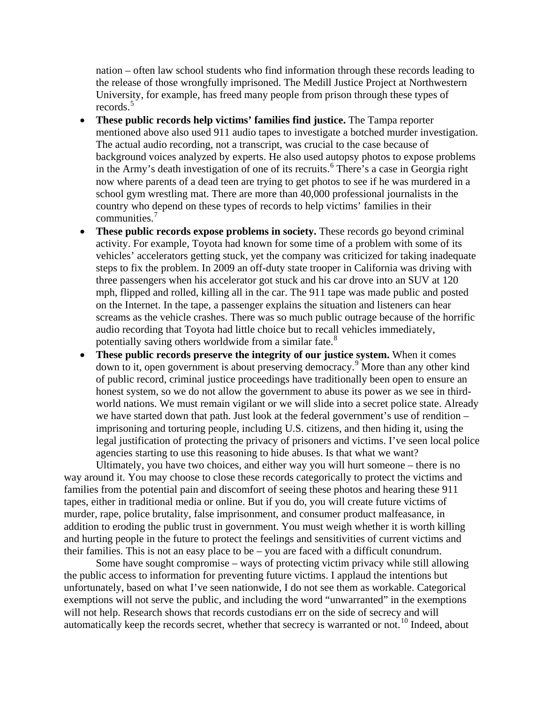nation – often law school students who find information through these records leading to the release of those wrongfully imprisoned. The Medill Justice Project at Northwestern University, for example, has freed many people from prison through these types of records.<sup>[5](#page-4-0)</sup>

- **These public records help victims' families find justice.** The Tampa reporter mentioned above also used 911 audio tapes to investigate a botched murder investigation. The actual audio recording, not a transcript, was crucial to the case because of background voices analyzed by experts. He also used autopsy photos to expose problems in the Army's death investigation of one of its recruits.<sup>[6](#page-4-1)</sup> There's a case in Georgia right now where parents of a dead teen are trying to get photos to see if he was murdered in a school gym wrestling mat. There are more than 40,000 professional journalists in the country who depend on these types of records to help victims' families in their communities.[7](#page-4-2)
- **These public records expose problems in society.** These records go beyond criminal activity. For example, Toyota had known for some time of a problem with some of its vehicles' accelerators getting stuck, yet the company was criticized for taking inadequate steps to fix the problem. In 2009 an off-duty state trooper in California was driving with three passengers when his accelerator got stuck and his car drove into an SUV at 120 mph, flipped and rolled, killing all in the car. The 911 tape was made public and posted on the Internet. In the tape, a passenger explains the situation and listeners can hear screams as the vehicle crashes. There was so much public outrage because of the horrific audio recording that Toyota had little choice but to recall vehicles immediately, potentially saving others worldwide from a similar fate.<sup>[8](#page-4-3)</sup>
- **These public records preserve the integrity of our justice system.** When it comes down to it, open government is about preserving democracy.[9](#page-4-4) More than any other kind of public record, criminal justice proceedings have traditionally been open to ensure an honest system, so we do not allow the government to abuse its power as we see in thirdworld nations. We must remain vigilant or we will slide into a secret police state. Already we have started down that path. Just look at the federal government's use of rendition – imprisoning and torturing people, including U.S. citizens, and then hiding it, using the legal justification of protecting the privacy of prisoners and victims. I've seen local police agencies starting to use this reasoning to hide abuses. Is that what we want?

Ultimately, you have two choices, and either way you will hurt someone – there is no way around it. You may choose to close these records categorically to protect the victims and families from the potential pain and discomfort of seeing these photos and hearing these 911 tapes, either in traditional media or online. But if you do, you will create future victims of murder, rape, police brutality, false imprisonment, and consumer product malfeasance, in addition to eroding the public trust in government. You must weigh whether it is worth killing and hurting people in the future to protect the feelings and sensitivities of current victims and their families. This is not an easy place to be – you are faced with a difficult conundrum.

Some have sought compromise – ways of protecting victim privacy while still allowing the public access to information for preventing future victims. I applaud the intentions but unfortunately, based on what I've seen nationwide, I do not see them as workable. Categorical exemptions will not serve the public, and including the word "unwarranted" in the exemptions will not help. Research shows that records custodians err on the side of secrecy and will automatically keep the records secret, whether that secrecy is warranted or not.<sup>[10](#page-4-5)</sup> Indeed, about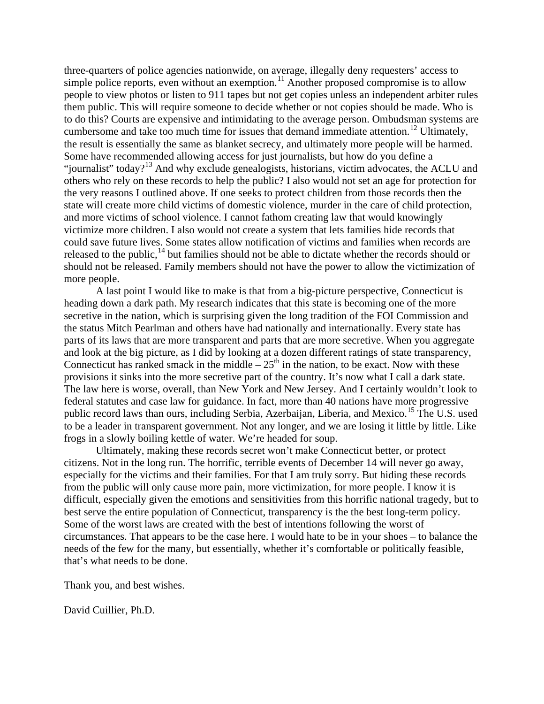three-quarters of police agencies nationwide, on average, illegally deny requesters' access to simple police reports, even without an exemption.<sup>[11](#page-4-6)</sup> Another proposed compromise is to allow people to view photos or listen to 911 tapes but not get copies unless an independent arbiter rules them public. This will require someone to decide whether or not copies should be made. Who is to do this? Courts are expensive and intimidating to the average person. Ombudsman systems are cumbersome and take too much time for issues that demand immediate attention.<sup>[12](#page-4-7)</sup> Ultimately, the result is essentially the same as blanket secrecy, and ultimately more people will be harmed. Some have recommended allowing access for just journalists, but how do you define a "journalist" today?<sup>[13](#page-4-8)</sup> And why exclude genealogists, historians, victim advocates, the ACLU and others who rely on these records to help the public? I also would not set an age for protection for the very reasons I outlined above. If one seeks to protect children from those records then the state will create more child victims of domestic violence, murder in the care of child protection, and more victims of school violence. I cannot fathom creating law that would knowingly victimize more children. I also would not create a system that lets families hide records that could save future lives. Some states allow notification of victims and families when records are released to the public, $^{14}$  $^{14}$  $^{14}$  but families should not be able to dictate whether the records should or should not be released. Family members should not have the power to allow the victimization of more people.

A last point I would like to make is that from a big-picture perspective, Connecticut is heading down a dark path. My research indicates that this state is becoming one of the more secretive in the nation, which is surprising given the long tradition of the FOI Commission and the status Mitch Pearlman and others have had nationally and internationally. Every state has parts of its laws that are more transparent and parts that are more secretive. When you aggregate and look at the big picture, as I did by looking at a dozen different ratings of state transparency, Connecticut has ranked smack in the middle –  $25<sup>th</sup>$  in the nation, to be exact. Now with these provisions it sinks into the more secretive part of the country. It's now what I call a dark state. The law here is worse, overall, than New York and New Jersey. And I certainly wouldn't look to federal statutes and case law for guidance. In fact, more than 40 nations have more progressive public record laws than ours, including Serbia, Azerbaijan, Liberia, and Mexico.<sup>[15](#page-4-10)</sup> The U.S. used to be a leader in transparent government. Not any longer, and we are losing it little by little. Like frogs in a slowly boiling kettle of water. We're headed for soup.

Ultimately, making these records secret won't make Connecticut better, or protect citizens. Not in the long run. The horrific, terrible events of December 14 will never go away, especially for the victims and their families. For that I am truly sorry. But hiding these records from the public will only cause more pain, more victimization, for more people. I know it is difficult, especially given the emotions and sensitivities from this horrific national tragedy, but to best serve the entire population of Connecticut, transparency is the the best long-term policy. Some of the worst laws are created with the best of intentions following the worst of circumstances. That appears to be the case here. I would hate to be in your shoes – to balance the needs of the few for the many, but essentially, whether it's comfortable or politically feasible, that's what needs to be done.

Thank you, and best wishes.

David Cuillier, Ph.D.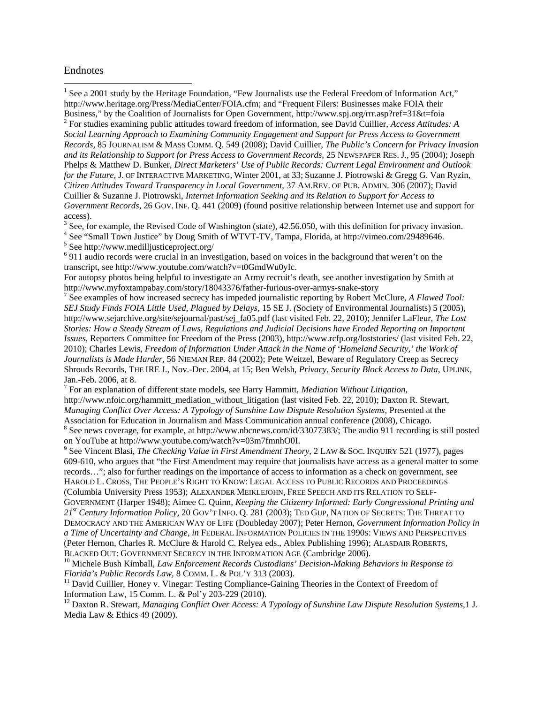## Endnotes

 $\overline{\phantom{a}}$ 

<span id="page-3-0"></span><sup>1</sup> See a 2001 study by the Heritage Foundation, "Few Journalists use the Federal Freedom of Information Act," [http://www.heritage.org/Press/MediaCenter/FOIA.cfm;](http://www.heritage.org/Press/MediaCenter/FOIA.cfm) and "Frequent Filers: Businesses make FOIA their

<span id="page-3-1"></span>Business," by the Coalition of Journalists for Open Government,<http://www.spj.org/rrr.asp?ref=31&t=foia> <sup>2</sup> For studies examining public attitudes toward freedom of information, see David Cuillier, *Access Attitudes: A Social Learning Approach to Examining Community Engagement and Support for Press Access to Government Records,* 85 JOURNALISM & MASS COMM. Q. 549 (2008); David Cuillier, *The Public's Concern for Privacy Invasion and its Relationship to Support for Press Access to Government Records,* 25 NEWSPAPER RES. J., 95 (2004); Joseph Phelps & Matthew D. Bunker, *Direct Marketers' Use of Public Records: Current Legal Environment and Outlook for the Future,* J. OF INTERACTIVE MARKETING, Winter 2001, at 33; Suzanne J. Piotrowski & Gregg G. Van Ryzin, *Citizen Attitudes Toward Transparency in Local Government,* 37 AM.REV. OF PUB. ADMIN. 306 (2007); David Cuillier & Suzanne J. Piotrowski, *Internet Information Seeking and its Relation to Support for Access to Government Records,* 26 GOV. INF. Q. 441 (2009) (found positive relationship between Internet use and support for access).

<span id="page-3-2"></span> $3$  See, for example, the Revised Code of Washington (state), 42.56.050, with this definition for privacy invasion.

<span id="page-3-3"></span><sup>4</sup> See "Small Town Justice" by Doug Smith of WTVT-TV, Tampa, Florida, at [http://vimeo.com/29489646.](http://vimeo.com/29489646)<br><sup>5</sup> See http://www.medilljusticeproject.org/

<sup>6</sup> 911 audio records were crucial in an investigation, based on voices in the background that weren't on the transcript, see [http://www.youtube.com/watch?v=t0GmdWu0yIc.](http://www.youtube.com/watch?v=t0GmdWu0yIc)

For autopsy photos being helpful to investigate an Army recruit's death, see another investigation by Smith at <http://www.myfoxtampabay.com/story/18043376/father-furious-over-armys-snake-story><br><sup>7</sup> See examples of how increased secrecy has impeded journalistic reporting by Robert McClure, *A Flawed Tool:* 

*SEJ Study Finds FOIA Little Used, Plagued by Delays,* 15 SE J. *(*Society of Environmental Journalists) 5 (2005), http://www.sejarchive.org/site/sejournal/past/sej\_fa05.pdf (last visited Feb. 22, 2010); Jennifer LaFleur, *The Lost Stories: How a Steady Stream of Laws, Regulations and Judicial Decisions have Eroded Reporting on Important Issues*, Reporters Committee for Freedom of the Press (2003),<http://www.rcfp.org/loststories/> (last visited Feb. 22, 2010); Charles Lewis, *Freedom of Information Under Attack in the Name of 'Homeland Security,' the Work of Journalists is Made Harder,* 56 NIEMAN REP. 84 (2002); Pete Weitzel, Beware of Regulatory Creep as Secrecy Shrouds Records, THE IRE J., Nov.-Dec. 2004, at 15; Ben Welsh, *Privacy, Security Block Access to Data,* UPLINK*,*

Jan.-Feb. 2006, at 8. <sup>7</sup> For an explanation of different state models, see Harry Hammitt, *Mediation Without Litigation,* [http://www.nfoic.org/hammitt\\_mediation\\_without\\_litigation](http://www.nfoic.org/hammitt_mediation_without_litigation) (last visited Feb. 22, 2010); Daxton R. Stewart, *Managing Conflict Over Access: A Typology of Sunshine Law Dispute Resolution Systems,* Presented at the Association for Education in Journalism and Mass Communication annual conference (2008), Chicago. <sup>8</sup> See news coverage, for example, a[t http://www.nbcnews.com/id/33077383/;](http://www.nbcnews.com/id/33077383/) The audio 911 recording is still posted

on YouTube at http://www.youtube.com/watch?v=03m7fmnhO0I.

<sup>9</sup> See Vincent Blasi, *The Checking Value in First Amendment Theory,* 2 LAW & SOC. INQUIRY 521 (1977), pages 609-610, who argues that "the First Amendment may require that journalists have access as a general matter to some records…"; also for further readings on the importance of access to information as a check on government, see HAROLD L. CROSS, THE PEOPLE'S RIGHT TO KNOW: LEGAL ACCESS TO PUBLIC RECORDS AND PROCEEDINGS (Columbia University Press 1953); ALEXANDER MEIKLEJOHN, FREE SPEECH AND ITS RELATION TO SELF-GOVERNMENT (Harper 1948); Aimee C. Quinn, *Keeping the Citizenry Informed: Early Congressional Printing and 21st Century Information Policy,* 20 GOV'T INFO. Q. 281 (2003); TED GUP, NATION OF SECRETS: THE THREAT TO DEMOCRACY AND THE AMERICAN WAY OF LIFE (Doubleday 2007); Peter Hernon, *Government Information Policy in a Time of Uncertainty and Change*, *in* FEDERAL INFORMATION POLICIES IN THE 1990S: VIEWS AND PERSPECTIVES (Peter Hernon, Charles R. McClure & Harold C. Relyea eds., Ablex Publishing 1996); ALASDAIR ROBERTS, BLACKED OUT: GOVERNMENT SECRECY IN THE INFORMATION AGE (Cambridge 2006).

<sup>10</sup> Michele Bush Kimball, *Law Enforcement Records Custodians' Decision-Making Behaviors in Response to Florida's Public Records Law, 8 COMM. L. & POL'Y 313 (2003).* 

<sup>11</sup> David Cuillier, Honey v. Vinegar: Testing Compliance-Gaining Theories in the Context of Freedom of Information Law, 15 Comm. L. & Pol'y 203-229 (2010).<br><sup>12</sup> Daxton R. Stewart, *Managing Conflict Over Access: A Typology of Sunshine Law Dispute Resolution Systems*, 1 J.

Media Law & Ethics 49 (2009).